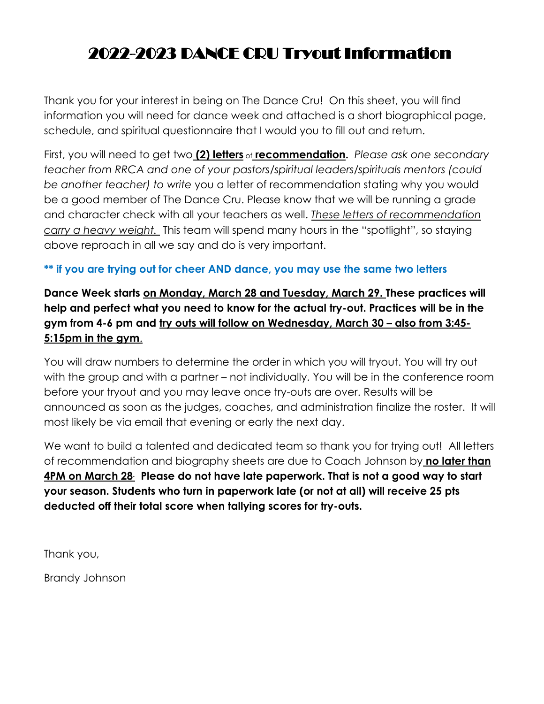# 2022-2023 DANCE CRU Tryout Information

Thank you for your interest in being on The Dance Cru! On this sheet, you will find information you will need for dance week and attached is a short biographical page, schedule, and spiritual questionnaire that I would you to fill out and return.

First, you will need to get two **(2) letters** of **recommendation.** *Please ask one secondary teacher from RRCA and one of your pastors/spiritual leaders/spirituals mentors (could be another teacher) to write* you a letter of recommendation stating why you would be a good member of The Dance Cru. Please know that we will be running a grade and character check with all your teachers as well. *These letters of recommendation carry a heavy weight.* This team will spend many hours in the "spotlight", so staying above reproach in all we say and do is very important.

### **\*\* if you are trying out for cheer AND dance, you may use the same two letters**

**Dance Week starts on Monday, March 28 and Tuesday, March 29. These practices will help and perfect what you need to know for the actual try-out. Practices will be in the gym from 4-6 pm and try outs will follow on Wednesday, March 30 – also from 3:45- 5:15pm in the gym**.

You will draw numbers to determine the order in which you will tryout. You will try out with the group and with a partner – not individually. You will be in the conference room before your tryout and you may leave once try-outs are over. Results will be announced as soon as the judges, coaches, and administration finalize the roster. It will most likely be via email that evening or early the next day.

We want to build a talented and dedicated team so thank you for trying out! All letters of recommendation and biography sheets are due to Coach Johnson by **no later than 4PM on March 28. Please do not have late paperwork. That is not a good way to start your season. Students who turn in paperwork late (or not at all) will receive 25 pts deducted off their total score when tallying scores for try-outs.** 

Thank you,

Brandy Johnson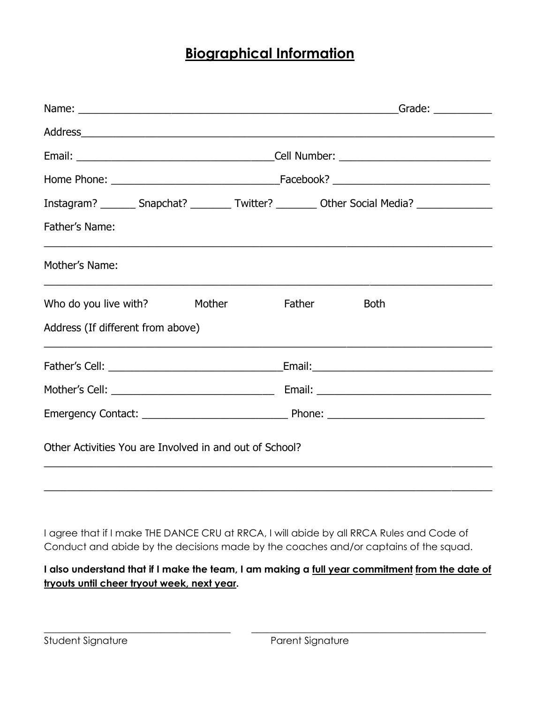## **Biographical Information**

|                                                         | Instagram? ________ Snapchat? _________ Twitter? _________ Other Social Media? ____________________ |
|---------------------------------------------------------|-----------------------------------------------------------------------------------------------------|
| Father's Name:                                          |                                                                                                     |
| Mother's Name:                                          |                                                                                                     |
| Who do you live with?<br>Mother                         | <b>Father</b><br><b>Both</b>                                                                        |
| Address (If different from above)                       |                                                                                                     |
|                                                         |                                                                                                     |
|                                                         |                                                                                                     |
|                                                         |                                                                                                     |
| Other Activities You are Involved in and out of School? |                                                                                                     |
|                                                         |                                                                                                     |

I agree that if I make THE DANCE CRU at RRCA, I will abide by all RRCA Rules and Code of Conduct and abide by the decisions made by the coaches and/or captains of the squad.

**I also understand that if I make the team, I am making a full year commitment from the date of tryouts until cheer tryout week, next year.**

\_\_\_\_\_\_\_\_\_\_\_\_\_\_\_\_\_\_\_\_\_\_\_\_\_\_\_\_\_\_\_\_\_\_\_ \_\_\_\_\_\_\_\_\_\_\_\_\_\_\_\_\_\_\_\_\_\_\_\_\_\_\_\_\_\_\_\_\_\_\_\_\_\_\_\_\_\_\_\_

Student Signature **Parent Signature** Parent Signature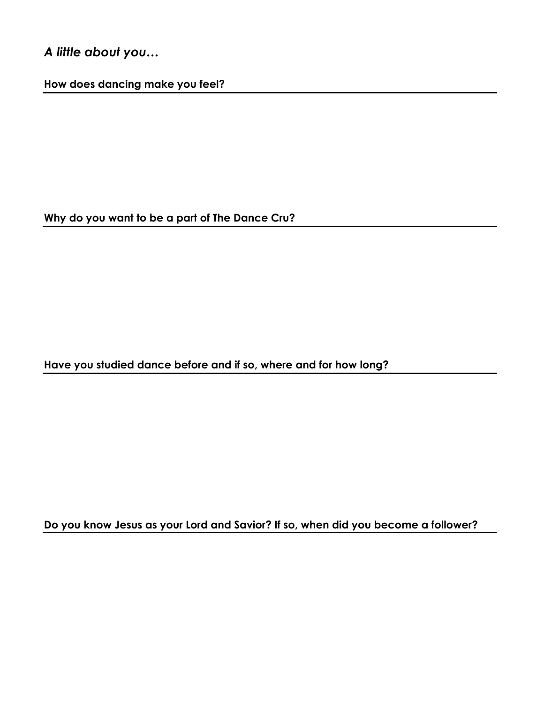## *A little about you…*

**How does dancing make you feel?** 

**Why do you want to be a part of The Dance Cru?**

**Have you studied dance before and if so, where and for how long?**

**Do you know Jesus as your Lord and Savior? If so, when did you become a follower?**